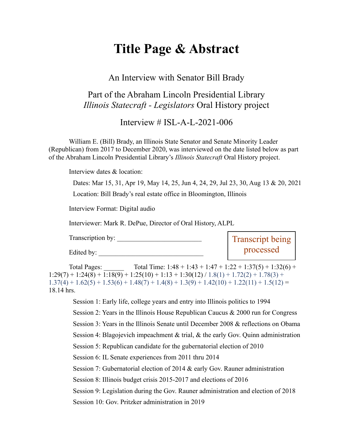# **Title Page & Abstract**

An Interview with Senator Bill Brady

### Part of the Abraham Lincoln Presidential Library *Illinois Statecraft - Legislators* Oral History project

Interview  $\#$  ISL-A-L-2021-006

William E. (Bill) Brady, an Illinois State Senator and Senate Minority Leader (Republican) from 2017 to December 2020, was interviewed on the date listed below as part of the Abraham Lincoln Presidential Library's *Illinois Statecraft* Oral History project.

Interview dates & location:

Dates: Mar 15, 31, Apr 19, May 14, 25, Jun 4, 24, 29, Jul 23, 30, Aug 13 & 20, 2021 Location: Bill Brady's real estate office in Bloomington, Illinois

Interview Format: Digital audio

Interviewer: Mark R. DePue, Director of Oral History, ALPL

Transcription by: Edited by: Transcript being processed

Total Pages: Total Time:  $1:48 + 1:43 + 1:47 + 1:22 + 1:37(5) + 1:32(6) +$  $1:29(7) + 1:24(8) + 1:18(9) + 1:25(10) + 1:13 + 1:30(12) / 1.8(1) + 1.72(2) + 1.78(3) +$  $1.37(4) + 1.62(5) + 1.53(6) + 1.48(7) + 1.4(8) + 1.3(9) + 1.42(10) + 1.22(11) + 1.5(12) =$ 18.14 hrs.

Session 1: Early life, college years and entry into Illinois politics to 1994 Session 2: Years in the Illinois House Republican Caucus & 2000 run for Congress Session 3: Years in the Illinois Senate until December 2008 & reflections on Obama Session 4: Blagojevich impeachment & trial, & the early Gov. Quinn administration Session 5: Republican candidate for the gubernatorial election of 2010 Session 6: IL Senate experiences from 2011 thru 2014 Session 7: Gubernatorial election of 2014 & early Gov. Rauner administration Session 8: Illinois budget crisis 2015-2017 and elections of 2016 Session 9: Legislation during the Gov. Rauner administration and election of 2018 Session 10: Gov. Pritzker administration in 2019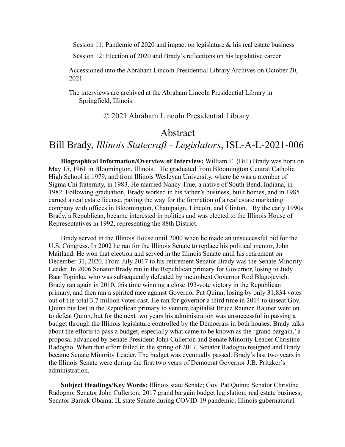Session 11: Pandemic of 2020 and impact on legislature & his real estate business

Session 12: Election of 2020 and Brady's reflections on his legislative career

Accessioned into the Abraham Lincoln Presidential Library Archives on October 20, 2021

The interviews are archived at the Abraham Lincoln Presidential Library in Springfield, Illinois.

© 2021 Abraham Lincoln Presidential Library

#### Abstract

## Bill Brady, *Illinois Statecraft - Legislators*, ISL-A-L-2021-006

**Biographical Information/Overview of Interview:** William E. (Bill) Brady was born on May 15, 1961 in Bloomington, Illinois. He graduated from Bloomington Central Catholic High School in 1979, and from Illinois Wesleyan University, where he was a member of Sigma Chi fraternity, in 1983. He married Nancy True, a native of South Bend, Indiana, in 1982. Following graduation, Brady worked in his father's business, built homes, and in 1985 earned a real estate license, paving the way for the formation of a real estate marketing company with offices in Bloomington, Champaign, Lincoln, and Clinton. By the early 1990s Brady, a Republican, became interested in politics and was elected to the Illinois House of Representatives in 1992, representing the 88th District.

Brady served in the Illinois House until 2000 when he made an unsuccessful bid for the U.S. Congress. In 2002 he ran for the Illinois Senate to replace his political mentor, John Maitland. He won that election and served in the Illinois Senate until his retirement on December 31, 2020. From July 2017 to his retirement Senator Brady was the Senate Minority Leader. In 2006 Senator Brady ran in the Republican primary for Governor, losing to Judy Baar Topinka, who was subsequently defeated by incumbent Governor Rod Blagojevich. Brady ran again in 2010, this time winning a close 193-vote victory in the Republican primary, and then ran a spirited race against Governor Pat Quinn, losing by only 31,834 votes out of the total 3.7 million votes cast. He ran for governor a third time in 2014 to unseat Gov. Quinn but lost in the Republican primary to venture capitalist Bruce Rauner. Rauner went on to defeat Quinn, but for the next two years his administration was unsuccessful in passing a budget through the Illinois legislature controlled by the Democrats in both houses. Brady talks about the efforts to pass a budget, especially what came to be known as the 'grand bargain,' a proposal advanced by Senate President John Cullerton and Senate Minority Leader Christine Radogno. When that effort failed in the spring of 2017, Senator Radogno resigned and Brady became Senate Minority Leader. The budget was eventually passed. Brady's last two years in the Illinois Senate were during the first two years of Democrat Governor J.B. Pritzker's administration.

**Subject Headings/Key Words:** Illinois state Senate; Gov. Pat Quinn; Senator Christine Radogno; Senator John Cullerton; 2017 grand bargain budget legislation; real estate business; Senator Barack Obama; IL state Senate during COVID-19 pandemic; Illinois gubernatorial